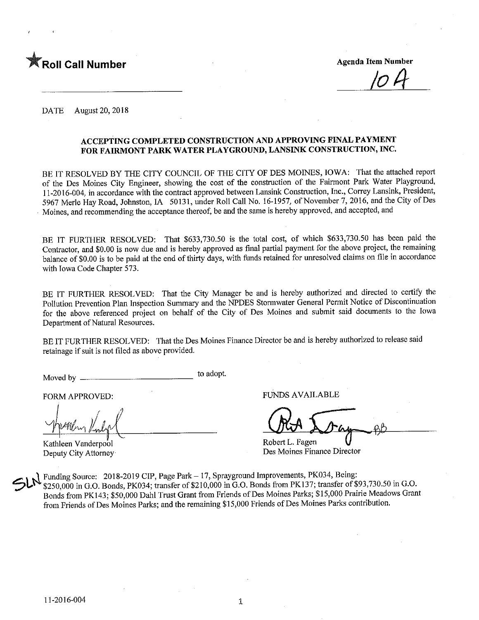

DATE August 20, 2018

### ACCEPTING COMPLETED CONSTRUCTION AND APPROVING FINAL PAYMENT FOR FAIRMONT PARK WATER PLAYGROUND, LANSINK CONSTRUCTION, INC.

BE IT RESOLVED BY THE CITY COUNCIL OF THE CITY OF DES MOINES, IOWA: That the attached report of the Des Moines City Engineer, showing the cost of the construction of the Fairmont Park Water Playground, 11-2016-004, in accordance with the contract approved between Lansink Construction, Inc., Correy Lansink, President, 5967 Merle Hay Road, Johnston, IA 50131, under Roll Call No. 16-1957, of November 7, 2016, and the City of Des Moines, and recommending the acceptance thereof, be and the same is hereby approved, and accepted, and

BE IT FURTHER RESOLVED: That \$633,730.50 is the total cost, of which \$633,730.50 has been paid the Contractor, and \$0.00 is now due and is hereby approved as final partial payment for the above project, the remaining balance of \$0.00 is to be paid at the end of thirty days, with funds retained for unresolved claims on file in accordance with Iowa Code Chapter 573.

BE IT FURTHER RESOLVED: That the City Manager be and is hereby authorized and directed to certify the Pollution Prevention Plan Inspection Summary and the NPDES Stormwater General Permit Notice of Discontinuation for the above referenced project on behalf of the City of Des Moines and submit said documents to the Iowa Department of Natural Resources.

BE IT FURTHER RESOLVED: That the Des Moines Finance Director be and is hereby authorized to release said retainage if suit is not filed as above provided.

Moved by \_ to adopt

Kathleen Vanderpool Robert L. Fagen<br>
Robert L. Fagen<br>
Robert L. Fagen<br>
Robert L. Fagen

FORM APPROVED: FUNDS AVAILABLE

Des Moines Finance Director

 $5h$ Funding Source: 2018-2019 CIP, Page Park- 17, Sprayground Improvements, PK034, Being: \$250,000 in G.O. Bonds, PK034; transfer of \$210,000 in G.O. Bonds from PK137; transfer of \$93,730.50 in G.O. Bonds from PK143; \$50,000 Dahl Trust Grant from Friends of Des Moines Parks; \$15,000 Prairie Meadows Grant from Friends of Des Moines Parks; and the remaining \$15,000 Friends of Des Moines Parks contribution.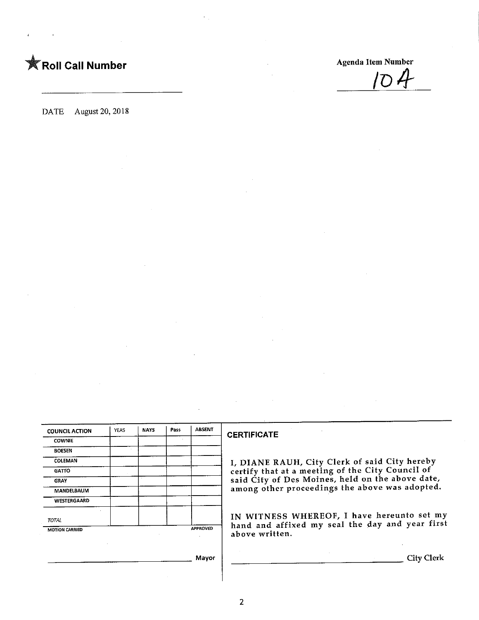

DATE August 20, 2018

| <b>COUNCIL ACTION</b> | YEAS | <b>NAYS</b> | Pass | <b>ABSENT</b>   |
|-----------------------|------|-------------|------|-----------------|
| <b>COWNIE</b>         |      |             |      |                 |
| <b>BOESEN</b>         |      |             |      |                 |
| COLEMAN               |      |             |      |                 |
| <b>GATTO</b>          |      |             |      |                 |
| <b>GRAY</b>           |      |             |      |                 |
| MANDELBAUM            |      |             |      |                 |
| WESTERGAARD           |      |             |      |                 |
| <b>TOTAL</b>          |      |             |      |                 |
| MOTION CARRIED        |      |             |      | <b>APPROVED</b> |

## CERTIFICATE

I, DIANE RAUH/ City Clerk of said City hereby certify that at a meeting of the City Council of said City of Des Moines, held on the above date, among other proceedings the above was adopted.

IN WITNESS WHEREOF, I have hereunto set my hand and affixed my seal the day and year first above written.

**City Clerk** 

Mayor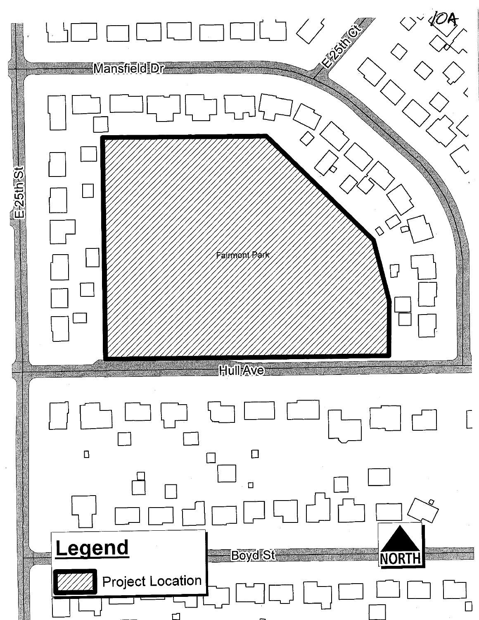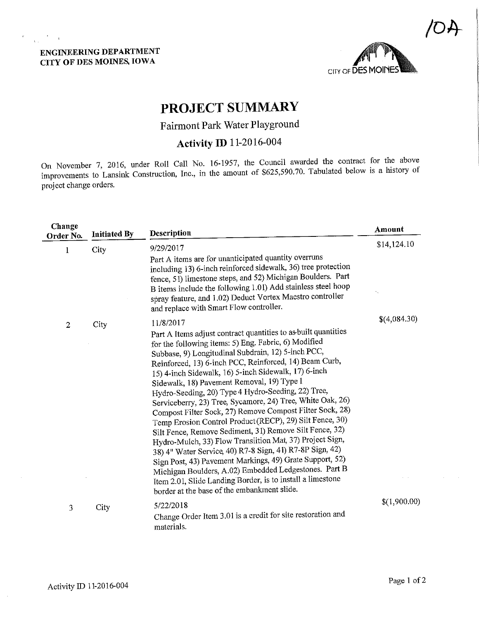## ENGINEERING DEPARTMENT CITY OF DES MOINES, IOWA

 $\label{eq:expansion} \mathbf{e} = \frac{1}{\mathbf{w}_0} \frac{\mathbf{e}}{\mathbf{w}_0} + \mathbf{e}$ 



# PROJECT SUMMARY

## Fairmont Park Water Playground

# Activity ID 11-2016-004

On November 7, 2016, under Roll Call No. 16-1957, the Council awarded the contract for the above improvements to Lansink Construction, Inc., in the amount of \$625,590.70. Tabulated below is a history of project change orders.

| Change<br>Order No. | <b>Initiated By</b> | Description                                                                                                                                                                                                                                                                                                                                                                                                                                                                                                                                                                                                                                                                                                                                                                                                                                                                                                                                                                                                                | Amount       |
|---------------------|---------------------|----------------------------------------------------------------------------------------------------------------------------------------------------------------------------------------------------------------------------------------------------------------------------------------------------------------------------------------------------------------------------------------------------------------------------------------------------------------------------------------------------------------------------------------------------------------------------------------------------------------------------------------------------------------------------------------------------------------------------------------------------------------------------------------------------------------------------------------------------------------------------------------------------------------------------------------------------------------------------------------------------------------------------|--------------|
| 1                   | City                | 9/29/2017<br>Part A items are for unanticipated quantity overruns<br>including 13) 6-inch reinforced sidewalk, 36) tree protection<br>fence, 51) limestone steps, and 52) Michigan Boulders. Part<br>B items include the following 1.01) Add stainless steel hoop<br>spray feature, and 1.02) Deduct Vortex Maestro controller<br>and replace with Smart Flow controller.                                                                                                                                                                                                                                                                                                                                                                                                                                                                                                                                                                                                                                                  | \$14,124.10  |
| $\mathbf{2}$        | City                | 11/8/2017<br>Part A Items adjust contract quantities to as built quantities<br>for the following items: 5) Eng. Fabric, 6) Modified<br>Subbase, 9) Longitudinal Subdrain, 12) 5-inch PCC,<br>Reinforced, 13) 6-inch PCC, Reinforced, 14) Beam Curb,<br>15) 4-inch Sidewalk, 16) 5-inch Sidewalk, 17) 6-inch<br>Sidewalk, 18) Pavement Removal, 19) Type 1<br>Hydro-Seeding, 20) Type 4 Hydro-Seeding, 22) Tree,<br>Serviceberry, 23) Tree, Sycamore, 24) Tree, White Oak, 26)<br>Compost Filter Sock, 27) Remove Compost Filter Sock, 28)<br>Temp Erosion Control Product (RECP), 29) Silt Fence, 30)<br>Silt Fence, Remove Sediment, 31) Remove Silt Fence, 32)<br>Hydro-Mulch, 33) Flow Transiition Mat, 37) Project Sign,<br>38) 4" Water Service, 40) R7-8 Sign, 41) R7-8P Sign, 42)<br>Sign Post, 43) Pavement Markings, 49) Grate Support, 52)<br>Michigan Boulders, A.02) Embedded Ledgestones. Part B<br>Item 2.01, Slide Landing Border, is to install a limestone<br>border at the base of the embankment slide. | \$(4,084.30) |
| 3                   | City                | 5/22/2018<br>Change Order Item 3.01 is a credit for site restoration and<br>materials.                                                                                                                                                                                                                                                                                                                                                                                                                                                                                                                                                                                                                                                                                                                                                                                                                                                                                                                                     | \$(1,900.00) |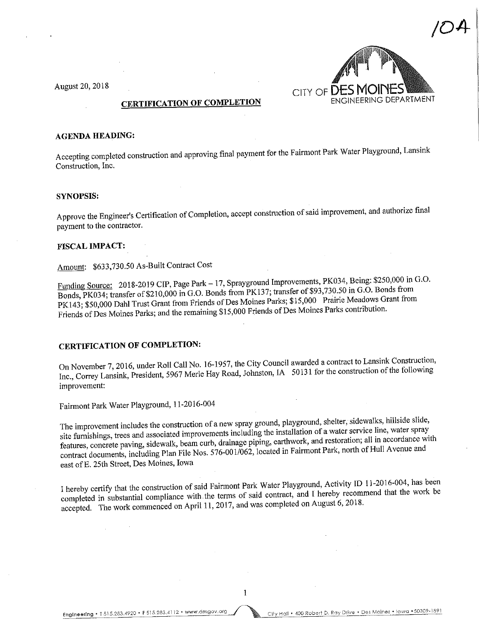August 20, 2018



## CERTIFICATION OF COMPLETION

#### AGENDA HEADING:

Accepting completed construction and approving final payment for the Fairmont Park Water Playground, Lansink Construction, Inc.

#### SYNOPSIS:

Approve the Engineer's Certification of Completion, accept construction of said improvement, and authorize final payment to the contractor.

#### FISCAL IMPACT:

Amount: \$633,730.50 As-Built Contract Cost

Funding Source: 2018-2019 CIP, Page Park - 17, Sprayground Improvements, PK034, Being: \$250,000 in G.O.<br>Bonds, PK034; transfer of \$210,000 in G.O. Bonds from PK137; transfer of \$93,730.50 in G.O. Bonds from PK143; \$50,000 Dahl Trust Grant from Friends of Des Moines Parks; \$15,000 Prairie Meadows Grant from  $R<sub>143</sub>$ ; \$50,000 Dahl Trust Grant from Friends of Des Moines Moines Parks; contribution. Friends of Des Moines Parks; and the remaining  $415,000$  Friends of Des Moines  $\frac{1}{2}$ 

## CERTIFICATION OF COMPLETION:

In November 7, 2016, under Roll Call No. 19-1977, the Council and  $\frac{50131}{20}$  for the construction of the following  $nc_i$ , Correy Lansink, President,  $3967$  Merle Hay Road, Johnston,  $250$  50131 for the following of the following of the following of the following of the following of the following of the following of the following of the improvement:

Falrmont Park Water Playground, 1 1-2016-004

The improvement includes the construction of a new spray ground, playground, shelter, sidewalks, hillside slide, site furnishings, trees and associated improvements including the installation of a water service line, water features, concrete paving, sidewalk, beam curb, drainage piping, earthwork, and restoration; all in accordance with eatures, concrete paving, sidewalk, beam curb, dramings, pipers, earth in Enirmont Park, north of Hull Avenue and contract documents, including Plan File Nos. 576-001/062, located in Fairmont Park, north of  $\frac{1}{2}$ east of E. 25th Street, Des Moines, Iowa

I hereby certify that the construction of said Fairmont Park Water Playground, Activity Interaction of  $\mathbb{R}$  is a primerical and  $\mathbb{R}$ . hereby recommend that the work be completed in substantial compliance with the terms of same commented on  $\Lambda_{\text{HCl}}$  here  $\hat{h}$  and  $\hat{h}$  and  $\hat{h}$  and  $\hat{h}$  and  $\hat{h}$  and  $\hat{h}$  and  $\hat{h}$  and  $\hat{h}$  and  $\hat{h}$  and  $\hat{h}$  and  $\hat{h}$  and accepted. The work commenced on April 11,2017, and was completed on August 6,2018.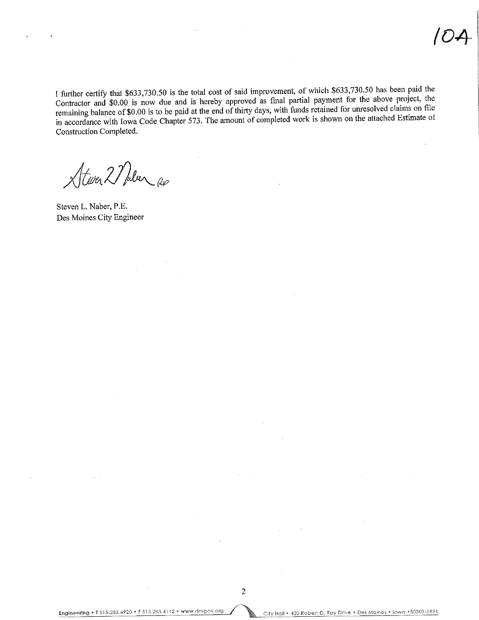I further certify that \$633,730.50 is the total cost of said improvement, of which \$633,730.50 has been paid the Contractor and \$0.00 is now due and is hereby approved as final partial payment for the above project, the remaining balance of \$0.00 is to be paid at the end of thirty days, with funds retained for unresolved claims on file in accordance with Iowa Code Chapter 573. The amount of completed work is shown on the attached Estimate of Construction Completed.

Atever 2 Placer Re

Steven L. Naber, P.E. Des Moines City Engineer

 $\overline{c}$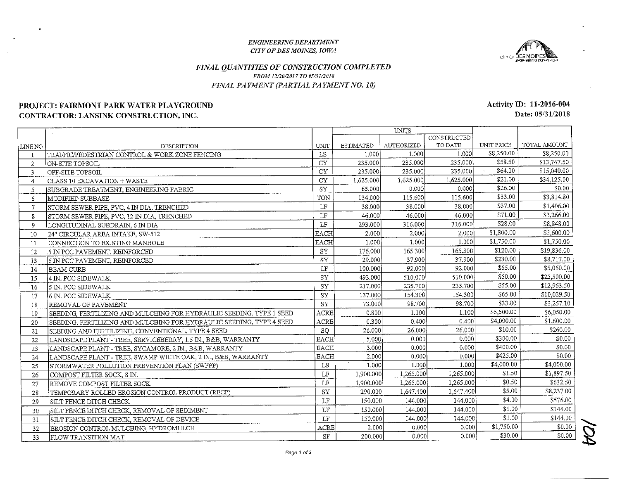#### ENGINEERJNG DEPAR TMENTCITY OF DES MOINES, 10 WA



#### FINAL QUANTITIES OF CONSTRUCTION COMPLETEDFROM 12/26/2017 TO 05/3I/20ISFINAL PAYMENT (PARTIAL PAYMENT NO. 10)

## PROJECT: FAIRMONT PARK WATER PLAYGROUNDCONTRACTOR: LANSINK CONSTRUCTION, INC.

|          |                                                                      |             | <b>UNITS</b>     |                   |             |            |              |
|----------|----------------------------------------------------------------------|-------------|------------------|-------------------|-------------|------------|--------------|
|          |                                                                      |             |                  |                   | CONSTRUCTED |            |              |
| LINE NO. | DESCRIPTION                                                          | <b>UNIT</b> | <b>ESTIMATED</b> | <b>AUTHORIZED</b> | TO DATE     | UNIT PRICE | TOTAL AMOUNT |
|          | ITRAFFIC/PEDESTRIAN CONTROL & WORK ZONE FENCING                      | LS          | 1.000            | 1.000             | 1.000       | \$8,250.00 | \$8,250.00   |
| 2        | ON-SITE TOPSOIL                                                      | <b>CY</b>   | 235.000          | 235.000           | 235.000     | \$58.50    | \$13,747.50  |
| 3        | OFF-SITE TOPSOIL                                                     | CY          | 235.000          | 235.000           | 235,000     | \$64.00    | \$15,040.00  |
| 4        | CLASS 10 EXCAVATION + WASTE                                          | <b>CY</b>   | 1,625.000        | 1,625.000         | 1,625.000   | \$21.00    | \$34,125.00  |
| 5        | SUBGRADE TREATMENT, ENGINEERING FABRIC                               | SY          | 65.000           | 0.000             | 0.000       | \$26.00    | \$0.00       |
| 6        | MODIFIED SUBBASE                                                     | TON         | 134.000          | 115.600           | 115.600     | \$33.00    | \$3,814.80   |
| 7        | STORM SEWER PIPE, PVC, 4 IN DIA, TRENCHED                            | $\rm LF$    | 38.000           | 38.000            | 38.000      | \$37.00    | \$1,406.00   |
| 8        | STORM SEWER PIPE, PVC, 12 IN DIA, TRENCHED                           | LF          | 46.000           | 46.000            | 46.000      | \$71.00    | \$3,266.00   |
| 9        | LONGITUDINAL SUBDRAIN, 6 IN DIA                                      | LF          | 293.000          | 316.000           | 316.000     | \$28.00    | \$8,848.00   |
| 10       | 24" CIRCULAR AREA INTAKE, SW-512                                     | <b>EACH</b> | 2.000            | 2.000             | 2.000       | \$1,800.00 | \$3,600.00   |
| 11       | CONNECTION TO EXISTING MANHOLE                                       | <b>EACH</b> | 1.000            | 1.000             | 1.000       | \$1,750.00 | \$1,750.00   |
| 12       | 5 IN PCC PAVEMENT, REINFORCED                                        | SY          | 176.000          | 165.300           | 165.300     | \$120.00   | \$19,836.00  |
| 13       | 6 IN PCC PAVEMENT, REINFORCED                                        | <b>SY</b>   | 29.000           | 37.900            | 37.900      | \$230.00   | \$8,717.00   |
| 14       | BEAM CURB                                                            | LF          | 100.000          | 92,000            | 92.000      | \$55.00    | \$5,060.00   |
| 15       | 4 IN. PCC SIDEWALK                                                   | SY          | 493.000          | 510.000           | 510.000     | \$50.00    | \$25,500.00  |
| 16       | 5 IN. PCC SIDEWALK                                                   | SY          | 217.000          | 235.700           | 235.700     | \$55.00    | \$12,963.50  |
| 17       | 6 IN. PCC SIDEWALK                                                   | SY          | 137 000          | 154.300           | 154.300     | \$65.00    | \$10,029.50  |
| 18       | IREMOVAL OF PAVEMENT                                                 | ${\rm SY}$  | 73.000           | 98.700            | 98.700      | \$33.00    | \$3,257.10   |
| 19       | SEEDING, FERTILIZING AND MULCHING FOR HYDRAULIC SEEDING, TYPE 1 SEED | ACRE        | 0.800            | 1.100             | 1.100       | \$5,500.00 | \$6,050.00   |
| 20       | SEEDING, FERTILIZING AND MULCHING FOR HYDRAULIC SEEDING, TYPE 4 SEED | <b>ACRE</b> | 0.300            | 0.400             | 0.400       | \$4,000.00 | \$1,600.00   |
| 21       | SEEDING AND FERTILIZING, CONVENTIONAL, TYPE 4 SEED                   | <b>SQ</b>   | 26,000           | 26.000            | 26,000      | \$10.00    | \$260.00     |
| 22       | LANDSCAPE PLANT - TREE, SERVICEBERRY, 1.5 IN., B&B, WARRANTY         | <b>EACH</b> | 5.000            | 0.000             | 0.000       | \$300.00   | \$0.00       |
| 23       | LANDSCAPE PLANT - TREE, SYCAMORE, 2 IN., B&B, WARRANTY               | <b>EACH</b> | 3.000            | 0.000             | 0.000       | \$400.00   | \$0.00       |
| 24       | LANDSCAPE PLANT - TREE, SWAMP WHITE OAK, 2 IN., B&B, WARRANTY        | <b>EACH</b> | 2.000            | 0.000             | 0.000       | \$425.00   | \$0.00       |
| 25       | STORMWATER POLLUTION PREVENTION PLAN (SWPPP)                         | LS          | 1.000            | 1.000             | 1 000       | \$4,000.00 | \$4,000.00   |
| 26       | COMPOST FILTER SOCK, 8 IN.                                           | LF          | 1,900.000        | 1,265.000         | 1,265.000   | \$1.50     | \$1,897.50   |
| 27       | IREMOVE COMPOST FILTER SOCK                                          | LF          | 1,900,000        | 1,265,000         | 1,265,000   | \$0.50     | \$632.50     |
| 28       | TEMPORARY ROLLED EROSION CONTROL PRODUCT (RECP)                      | SY          | 290.000          | 1,647.400         | 1,647.400   | \$5.00     | \$8,237.00   |
| 29       | SILT FENCE DITCH CHECK.                                              | LF          | 150.000          | 144.000           | 144.000     | \$4.00     | \$576.00     |
| 30       | SILT FENCE DITCH CHECK, REMOVAL OF SEDIMENT                          | LF          | 150.000          | 144.000           | 144.000     | \$1.00     | \$144.00     |
| 31       | SILT FENCE DITCH CHECK, REMOVAL OF DEVICE                            | LF          | 150.000          | 144.000           | 144.000     | \$1.00     | \$144.00     |
| 32       | EROSION CONTROL MULCHING, HYDROMULCH                                 | ACRE        | 2.000            | 0.000             | 0.000       | \$1,750.00 | \$0.00       |
| 33       | <b>IFLOW TRANSITION MAT</b>                                          | SF          | 200.000          | 0.000             | 0.000       | \$30.00    | \$0.00       |

Activity ID: 11-2016-004Date: 05/31/2018

Page 1 of 3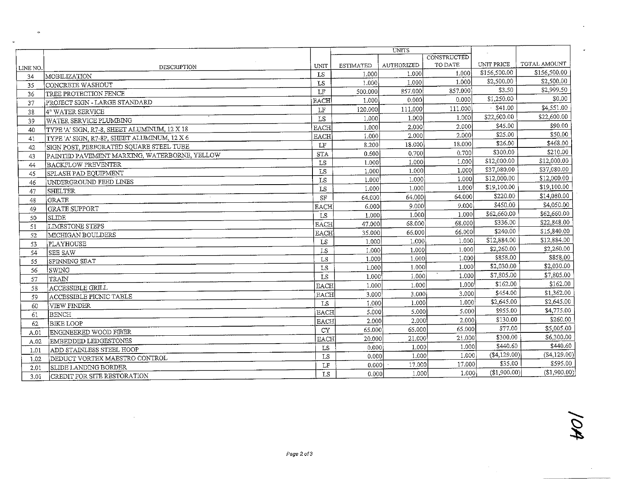|          |                                              |                        |                  | <b>UNITS</b>      |             |                |               |
|----------|----------------------------------------------|------------------------|------------------|-------------------|-------------|----------------|---------------|
|          |                                              |                        |                  |                   | CONSTRUCTED |                |               |
| LINE NO. | DESCRIPTION                                  | UNIT                   | <b>ESTIMATED</b> | <b>AUTHORIZED</b> | TO DATE     | UNIT PRICE     | TOTAL AMOUNT  |
| 34       | MOBILIZATION                                 | LS                     | 1.000            | 1.000             | 1.000       | \$156,500.00   | \$156,500.00  |
| 35       | CONCRETE WASHOUT                             | $\mathbb{L}\mathbb{S}$ | 1.000            | 1.000             | 1.000       | \$2,500.00     | \$2,500.00    |
| 36       | TREE PROTECTION FENCE                        | $\mathbf{L}\mathbf{F}$ | 500.000          | 857.000           | 857.000     | \$3.50         | \$2,999.50    |
| 37       | PROJECT SIGN - LARGE STANDARD                | <b>EACH</b>            | 1.000            | 0.000             | 0.000       | \$1,250.00     | \$0.00        |
| 38       | 4" WATER SERVICE                             | $\operatorname{LF}$    | 120,000          | 111.000           | 111.000     | \$41.00        | \$4,551.00    |
| 39       | <b>WATER SERVICE PLUMBING</b>                | LS                     | 1,000            | 1.000             | 1.000       | \$22,600.00    | \$22,600.00   |
| 40       | TYPE 'A' SIGN, R7-8, SHEET ALUMINUM, 12 X 18 | <b>EACH</b>            | 1.000            | 2.000             | 2.000       | \$45.00        | \$90.00       |
| 41       | TYPE 'A' SIGN, R7-8P, SHEET ALUMINUM, 12 X 6 | <b>EACH</b>            | 1.000            | 2.000             | 2.000       | \$25.00        | \$50.00       |
| 42       | SIGN POST, PERFORATED SQUARE STEEL TUBE      | LF                     | 8.200            | 18.000            | 18.000      | \$26.00        | \$468.00      |
| 43       | PAINTED PAVEMENT MARKING, WATERBORNE, YELLOW | <b>STA</b>             | 0.600            | 0.700             | 0.700       | \$300.00       | \$210.00      |
| 44       | <b>BACKFLOW PREVENTER</b>                    | LS                     | 1.000            | 1.000             | 1.000       | \$12,000.00    | \$12,000.00   |
| 45       | SPLASH PAD EQUIPMENT                         | LS                     | 1.000            | 1.000             | 1.000       | \$37,080.00    | \$37,080.00   |
| 46       | UNDERGROUND FEED LINES                       | LS                     | 1.000            | 1.000             | 1.000       | \$12,000.00    | \$12,000.00   |
| 47       | <b>SHELTER</b>                               | LS                     | 1.000            | 1.000             | 1.000       | \$19,100.00    | \$19,100.00   |
| 48       | <b>GRATE</b>                                 | $\rm SF$               | 64.000           | 64.000            | 64.000      | \$220.00       | \$14,080.00   |
| 49       | <b>GRATE SUPPORT</b>                         | <b>EACH</b>            | 6.000            | 9.000             | 9.000       | \$450.00       | \$4,050.00    |
| 50       | <b>SLIDE</b>                                 | ${\tt LS}$             | 1.000            | 1.000             | 1.000       | \$62,660.00    | \$62,660.00   |
| 51       | LIMESTONE STEPS                              | <b>EACH</b>            | 47.000           | 68,000            | 68.000      | \$336.00       | \$22,848.00   |
| 52       | MICHIGAN BOULDERS                            | <b>EACH</b>            | 35.000           | 66.000            | 66.000      | \$240.00       | \$15,840.00   |
| 53       | PLAYHOUSE                                    | LS                     | 1.000            | 1.000             | 1.000       | \$12,884.00    | \$12,884.00   |
| 54       | ISEE SAW                                     | LS                     | 1.000            | 1.000             | 1.000       | \$2,260.00     | \$2,260.00    |
| 55       | SPINNING SEAT                                | LS                     | 1.000            | 1.000             | 1.000       | \$858.00       | \$858.00      |
| 56       | lswing                                       | LS                     | 1.000            | 1.000             | 1.000       | \$2,030.00     | \$2,030.00    |
| 57       | TRAIN                                        | LS                     | 1.000            | 1.000             | 1.000       | \$7,805.00     | \$7,805.00    |
| 58       | ACCESSIBLE GRILL                             | <b>EACH</b>            | 1.000            | 1.000             | 1.000       | \$162.00       | \$162.00      |
| 59       | ACCESSIBLE PICNIC TABLE                      | <b>EACH</b>            | 3.000            | 3.000             | 3.000       | \$454.00       | \$1,362.00    |
| 60       | VIEW FINDER                                  | LS                     | 1.000            | 1.000             | 1.000       | \$2,645.00     | \$2,645.00    |
| 61       | <b>BENCH</b>                                 | <b>EACH</b>            | 5.000            | 5.000             | 5.000       | \$955.00       | \$4,775.00    |
| 62       | BIKE LOOP                                    | <b>EACH</b>            | 2.000            | 2.000             | 2.000       | \$130.00       | \$260.00      |
| A.01     | <b>ENGINEERED WOOD FIBER</b>                 | <b>CY</b>              | 65.000           | 65.000            | 65.000      | \$77.00        | \$5,005.00    |
| A.02     | EMBEDDED LEDGESTONES                         | <b>EACH</b>            | 20.000           | 21.000            | 21.000      | \$300,00       | \$6,300.00    |
| 1.01     | ADD STAINLESS STEEL HOOP                     | LS                     | 0.000            | 1.000             | 1.000       | \$440.60       | \$440.60      |
| 1.02     | DEDUCT VORTEX MAESTRO CONTROL                | LS                     | 0.000            | 1.000             | 1.000       | $(\$4,129.00)$ | ( \$4,129.00) |
| 2.01     | SLIDE LANDING BORDER                         | LF                     | 0.000            | 17.000            | 17.000      | \$35.00        | \$595.00      |
| 3.01     | CREDIT FOR SITE RESTORATION                  | LS                     | 0.000            | 1.000             | 1.000       | (\$1,900.00)   | (\$1,900.00)  |

 $\ddot{\phantom{a}}$ 

is.

 $\sim$